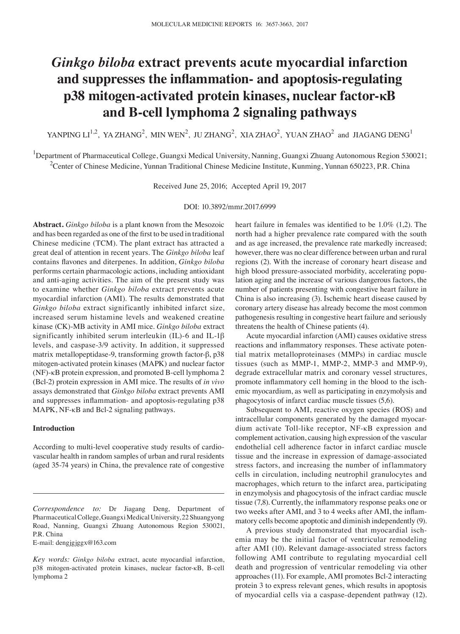# *Ginkgo biloba* **extract prevents acute myocardial infarction and suppresses the inflammation‑ and apoptosis‑regulating p38 mitogen‑activated protein kinases, nuclear factor‑κB and B‑cell lymphoma 2 signaling pathways**

YANPING  $LI^{1,2}$ , YA ZHANG<sup>2</sup>, MIN WEN<sup>2</sup>, JU ZHANG<sup>2</sup>, XIA ZHAO<sup>2</sup>, YUAN ZHAO<sup>2</sup> and JIAGANG DENG<sup>1</sup>

<sup>1</sup>Department of Pharmaceutical College, Guangxi Medical University, Nanning, Guangxi Zhuang Autonomous Region 530021; <sup>2</sup>Center of Chinese Medicine, Yunnan Traditional Chinese Medicine Institute, Kunming, Yunnan 650223, P.R. China

Received June 25, 2016; Accepted April 19, 2017

#### DOI: 10.3892/mmr.2017.6999

**Abstract.** *Ginkgo biloba* is a plant known from the Mesozoic and has been regarded as one of the first to be used in traditional Chinese medicine (TCM). The plant extract has attracted a great deal of attention in recent years. The *Ginkgo biloba* leaf contains flavones and diterpenes. In addition, *Ginkgo biloba* performs certain pharmacologic actions, including antioxidant and anti‑aging activities. The aim of the present study was to examine whether *Ginkgo biloba* extract prevents acute myocardial infarction (AMI). The results demonstrated that *Ginkgo biloba* extract significantly inhibited infarct size, increased serum histamine levels and weakened creatine kinase (CK)‑MB activity in AMI mice. *Ginkgo biloba* extract significantly inhibited serum interleukin (IL)-6 and IL-1β levels, and caspase‑3/9 activity. In addition, it suppressed matrix metallopeptidase‑9, transforming growth factor‑β, p38 mitogen‑activated protein kinases (MAPK) and nuclear factor (NF)-κB protein expression, and promoted B-cell lymphoma 2 (Bcl‑2) protein expression in AMI mice. The results of *in vivo* assays demonstrated that *Ginkgo biloba* extract prevents AMI and suppresses inflammation- and apoptosis-regulating p38 MAPK, NF-κB and Bcl-2 signaling pathways.

#### **Introduction**

According to multi‑level cooperative study results of cardiovascular health in random samples of urban and rural residents (aged 35‑74 years) in China, the prevalence rate of congestive

E-mail: dengjgjggx@163.com

heart failure in females was identified to be 1.0% (1,2). The north had a higher prevalence rate compared with the south and as age increased, the prevalence rate markedly increased; however, there was no clear difference between urban and rural regions (2). With the increase of coronary heart disease and high blood pressure‑associated morbidity, accelerating population aging and the increase of various dangerous factors, the number of patients presenting with congestive heart failure in China is also increasing (3). Ischemic heart disease caused by coronary artery disease has already become the most common pathogenesis resulting in congestive heart failure and seriously threatens the health of Chinese patients (4).

Acute myocardial infarction (AMI) causes oxidative stress reactions and inflammatory responses. These activate potential matrix metalloproteinases (MMPs) in cardiac muscle tissues (such as MMP‑1, MMP‑2, MMP‑3 and MMP‑9), degrade extracellular matrix and coronary vessel structures, promote inflammatory cell homing in the blood to the ischemic myocardium, as well as participating in enzymolysis and phagocytosis of infarct cardiac muscle tissues (5,6).

Subsequent to AMI, reactive oxygen species (ROS) and intracellular components generated by the damaged myocardium activate Toll‑like receptor, NF‑κB expression and complement activation, causing high expression of the vascular endothelial cell adherence factor in infarct cardiac muscle tissue and the increase in expression of damage‑associated stress factors, and increasing the number of inflammatory cells in circulation, including neutrophil granulocytes and macrophages, which return to the infarct area, participating in enzymolysis and phagocytosis of the infract cardiac muscle tissue (7,8). Currently, the inflammatory response peaks one or two weeks after AMI, and 3 to 4 weeks after AMI, the inflammatory cells become apoptotic and diminish independently (9).

A previous study demonstrated that myocardial ischemia may be the initial factor of ventricular remodeling after AMI (10). Relevant damage‑associated stress factors following AMI contribute to regulating myocardial cell death and progression of ventricular remodeling via other approaches (11). For example, AMI promotes Bcl-2 interacting protein 3 to express relevant genes, which results in apoptosis of myocardial cells via a caspase‑dependent pathway (12).

*Correspondence to:* Dr Jiagang Deng, Department of Pharmaceutical College, Guangxi Medical University, 22Shuangyong Road, Nanning, Guangxi Zhuang Autonomous Region 530021, P.R. China

*Key words: Ginkgo biloba* extract, acute myocardial infarction, p38 mitogen‑activated protein kinases, nuclear factor‑κB, B-cell lymphoma 2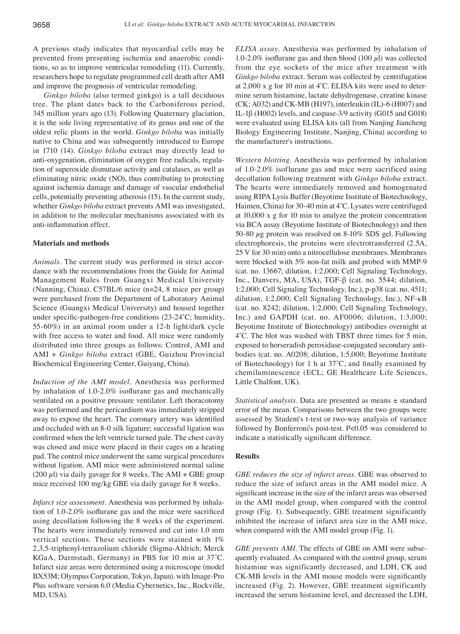A previous study indicates that myocardial cells may be prevented from presenting ischemia and anaerobic conditions, so as to improve ventricular remodeling (11). Currently, researchers hope to regulate programmed cell death after AMI and improve the prognosis of ventricular remodeling.

*Ginkgo biloba* (also termed ginkgo) is a tall deciduous tree. The plant dates back to the Carboniferous period, 345 million years ago (13). Following Quaternary glaciation, it is the sole living representative of its genus and one of the oldest relic plants in the world. *Ginkgo biloba* was initially native to China and was subsequently introduced to Europe in 1710 (14). *Ginkgo biloba* extract may directly lead to anti‑oxygenation, elimination of oxygen free radicals, regulation of superoxide dismutase activity and catalases, as well as eliminating nitric oxide (NO), thus contributing to protecting against ischemia damage and damage of vascular endothelial cells, potentially preventing atherosis (15). In the current study, whether *Ginkgo biloba* extract prevents AMI was investigated, in addition to the molecular mechanisms associated with its anti‑inflammation effect.

# **Materials and methods**

*Animals.* The current study was performed in strict accordance with the recommendations from the Guide for Animal Management Rules from Guangxi Medical University (Nanning, China). C57BL/6 mice (n=24, 8 mice per group) were purchased from the Department of Laboratory Animal Science (Guangxi Medical University) and housed together under specific-pathogen-free conditions (23-24°C; humidity, 55‑60%) in an animal room under a 12‑h light/dark cycle with free access to water and food. All mice were randomly distributed into three groups as follows: Control, AMI and AMI + *Ginkgo biloba* extract (GBE, Guizhou Provincial Biochemical Engineering Center, Guiyang, China).

*Induction of the AMI model.* Anesthesia was performed by inhalation of 1.0‑2.0% isoflurane gas and mechanically ventilated on a positive pressure ventilator. Left thoracotomy was performed and the pericardium was immediately stripped away to expose the heart. The coronary artery was identified and occluded with an 8‑0 silk ligature; successful ligation was confirmed when the left ventricle turned pale. The chest cavity was closed and mice were placed in their cages on a heating pad. The control mice underwent the same surgical procedures without ligation. AMI mice were administered normal saline (200  $\mu$ l) via daily gavage for 8 weeks. The AMI + GBE group mice received 100 mg/kg GBE via daily gavage for 8 weeks.

*Infarct size assessment.* Anesthesia was performed by inhalation of 1.0‑2.0% isoflurane gas and the mice were sacrificed using decollation following the 8 weeks of the experiment. The hearts were immediately removed and cut into 1.0 mm vertical sections. These sections were stained with 1% 2,3,5‑triphenyl‑tetrazolium chloride (Sigma‑Aldrich; Merck KGaA, Darmstadt, Germany) in PBS for 10 min at 37˚C. Infarct size areas were determined using a microscope (model BX53M; Olympus Corporation, Tokyo, Japan). with Image-Pro Plus software version 6.0 (Media Cybernetics, Inc., Rockville, MD, USA).

*ELISA assay.* Anesthesia was performed by inhalation of 1.0-2.0% isoflurane gas and then blood (100  $\mu$ l) was collected from the eye sockets of the mice after treatment with *Ginkgo biloba* extract. Serum was collected by centrifugation at 2,000 x g for 10 min at 4˚C. ELISA kits were used to determine serum histamine, lactate dehydrogenase, creatine kinase (CK; A032) and CK‑MB (H197), interleukin (IL)‑6 (H007) and IL-1β (H002) levels, and caspase‑3/9 activity (G015 and G018) were evaluated using ELISA kits (all from Nanjing Jiancheng Biology Engineering Institute, Nanjing, China) according to the manufacturer's instructions.

*Western blotting.* Anesthesia was performed by inhalation of 1.0‑2.0% isoflurane gas and mice were sacrificed using decollation following treatment with *Ginkgo biloba* extract. The hearts were immediately removed and homogenated using RIPA Lysis Buffer (Beyotime Institute of Biotechnology, Haimen, China) for 30‑40 min at 4˚C. Lysates were centrifuged at 10,000 x g for 10 min to analyze the protein concentration via BCA assay (Beyotime Institute of Biotechnology) and then 50–80  $\mu$ g protein was resolved on 8–10% SDS gel. Following electrophoresis, the proteins were electrotransferred (2.5A, 25 V for 30 min) onto a nitrocellulose membranes. Membranes were blocked with 5% non-fat milk and probed with MMP-9 (cat. no. 13667; dilution, 1:2,000; Cell Signaling Technology, Inc., Danvers, MA, USA), TGF‑β (cat. no. 5544; dilution, 1:2,000; Cell Signaling Technology, Inc.), p‑p38 (cat. no. 4511; dilution, 1:2,000; Cell Signaling Technology, Inc.), NF‑κB (cat. no. 8242; dilution, 1:2,000; Cell Signaling Technology, Inc.) and GAPDH (cat. no. AF0006; dilution, 1:3,000; Beyotime Institute of Biotechnology) antibodies overnight at 4˚C. The blot was washed with TBST three times for 5 min, exposed to horseradish peroxidase‑conjugated secondary antibodies (cat. no. A0208; dilution, 1:5,000; Beyotime Institute of Biotechnology) for 1 h at 37˚C, and finally examined by chemiluminescence (ECL; GE Healthcare Life Sciences, Little Chalfont, UK).

*Statistical analysis.* Data are presented as means ± standard error of the mean. Comparisons between the two groups were assessed by Student's t‑test or two‑way analysis of variance followed by Bonferroni's post-test. P<0.05 was considered to indicate a statistically significant difference.

## **Results**

*GBE reduces the size of infarct areas.* GBE was observed to reduce the size of infarct areas in the AMI model mice. A significant increase in the size of the infarct areas was observed in the AMI model group, when compared with the control group (Fig. 1). Subsequently, GBE treatment significantly inhibited the increase of infarct area size in the AMI mice, when compared with the AMI model group (Fig. 1).

*GBE prevents AMI*. The effects of GBE on AMI were subsequently evaluated. As compared with the control group, serum histamine was significantly decreased, and LDH, CK and CK‑MB levels in the AMI mouse models were significantly increased (Fig. 2). However, GBE treatment significantly increased the serum histamine level, and decreased the LDH,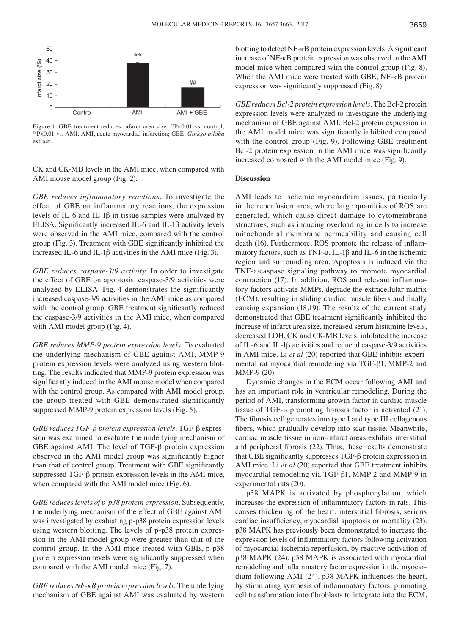

Figure 1. GBE treatment reduces infarct area size. \*\* P<0.01 vs. control; ##P<0.01 vs. AMI. AMI, acute myocardial infarction; GBE, *Ginkgo biloba* extract.

CK and CK‑MB levels in the AMI mice, when compared with AMI mouse model group (Fig. 2).

*GBE reduces inflammatory reactions.* To investigate the effect of GBE on inflammatory reactions, the expression levels of IL‑6 and IL‑1β in tissue samples were analyzed by ELISA. Significantly increased IL‑6 and IL‑1β activity levels were observed in the AMI mice, compared with the control group (Fig. 3). Treatment with GBE significantly inhibited the increased IL-6 and IL-1β activities in the AMI mice (Fig. 3).

*GBE reduces caspase‑3/9 activity.* In order to investigate the effect of GBE on apoptosis, caspase-3/9 activities were analyzed by ELISA. Fig. 4 demonstrates the significantly increased caspase-3/9 activities in the AMI mice as compared with the control group. GBE treatment significantly reduced the caspase-3/9 activities in the AMI mice, when compared with AMI model group (Fig. 4).

*GBE reduces MMP‑9 protein expression levels.* To evaluated the underlying mechanism of GBE against AMI, MMP‑9 protein expression levels were analyzed using western blotting. The results indicated that MMP‑9 protein expression was significantly induced in the AMI mouse model when compared with the control group. As compared with AMI model group, the group treated with GBE demonstrated significantly suppressed MMP-9 protein expression levels (Fig. 5).

*GBE reduces TGF‑β protein expression levels.* TGF-β expression was examined to evaluate the underlying mechanism of GBE against AMI. The level of TGF‑β protein expression observed in the AMI model group was significantly higher than that of control group. Treatment with GBE significantly suppressed TGF‑β protein expression levels in the AMI mice, when compared with the AMI model mice (Fig. 6).

*GBE reduces levels of p‑p38 protein expression.* Subsequently, the underlying mechanism of the effect of GBE against AMI was investigated by evaluating p-p38 protein expression levels using western blotting. The levels of p‑p38 protein expression in the AMI model group were greater than that of the control group. In the AMI mice treated with GBE, p‑p38 protein expression levels were significantly suppressed when compared with the AMI model mice (Fig. 7).

*GBE reduces NF‑κB protein expression levels.* The underlying mechanism of GBE against AMI was evaluated by western blotting to detect NF-κB protein expression levels. A significant increase of NF-κB protein expression was observed in the AMI model mice when compared with the control group (Fig. 8). When the AMI mice were treated with GBE, NF-κB protein expression was significantly suppressed (Fig. 8).

*GBE reduces Bcl-2 protein expression levels.* The Bcl-2 protein expression levels were analyzed to investigate the underlying mechanism of GBE against AMI. Bcl-2 protein expression in the AMI model mice was significantly inhibited compared with the control group (Fig. 9). Following GBE treatment Bcl-2 protein expression in the AMI mice was significantly increased compared with the AMI model mice (Fig. 9).

## **Discussion**

AMI leads to ischemic myocardium issues, particularly in the reperfusion area, where large quantities of ROS are generated, which cause direct damage to cytomembrane structures, such as inducing overloading in cells to increase mitochondrial membrane permeability and causing cell death (16). Furthermore, ROS promote the release of inflammatory factors, such as TNF‑a, IL‑1β and IL-6 in the ischemic region and surrounding area. Apoptosis is induced via the TNF‑a/caspase signaling pathway to promote myocardial contraction (17). In addition, ROS and relevant inflammatory factors activate MMPs, degrade the extracellular matrix (ECM), resulting in sliding cardiac muscle fibers and finally causing expansion (18,19). The results of the current study demonstrated that GBE treatment significantly inhibited the increase of infarct area size, increased serum histamine levels, decreased LDH, CK and CK‑MB levels, inhibited the increase of IL-6 and IL-1β activities and reduced caspase‑3/9 activities in AMI mice. Li *et al* (20) reported that GBE inhibits experimental rat myocardial remodeling via TGF‑β1, MMP-2 and MMP‑9 (20).

Dynamic changes in the ECM occur following AMI and has an important role in ventricular remodeling. During the period of AMI, transforming growth factor in cardiac muscle tissue of TGF‑β promoting fibrosis factor is activated (21). The fibrosis cell generates into type I and type III collagenous fibers, which gradually develop into scar tissue. Meanwhile, cardiac muscle tissue in non‑infarct areas exhibits interstitial and peripheral fibrosis (22). Thus, these results demonstrate that GBE significantly suppresses TGF‑β protein expression in AMI mice. Li *et al* (20) reported that GBE treatment inhibits myocardial remodeling via TGF‑β1, MMP‑2 and MMP‑9 in experimental rats (20).

p38 MAPK is activated by phosphorylation, which increases the expression of inflammatory factors in rats. This causes thickening of the heart, interstitial fibrosis, serious cardiac insufficiency, myocardial apoptosis or mortality (23). p38 MAPK has previously been demonstrated to increase the expression levels of inflammatory factors following activation of myocardial ischemia reperfusion, by reactive activation of p38 MAPK (24). p38 MAPK is associated with myocardial remodeling and inflammatory factor expression in the myocardium following AMI (24). p38 MAPK influences the heart, by stimulating synthesis of inflammatory factors, promoting cell transformation into fibroblasts to integrate into the ECM,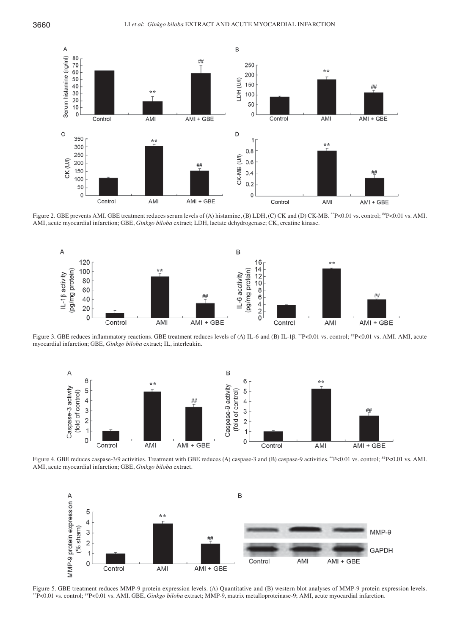

Figure 2. GBE prevents AMI. GBE treatment reduces serum levels of (A) histamine, (B) LDH, (C) CK and (D) CK-MB. \*\*P<0.01 vs. control; #P<0.01 vs. AMI. AMI, acute myocardial infarction; GBE, *Ginkgo biloba* extract; LDH, lactate dehydrogenase; CK, creatine kinase.



Figure 3. GBE reduces inflammatory reactions. GBE treatment reduces levels of (A) IL‑6 and (B) IL‑1β. \*\*P<0.01 vs. control; ##P<0.01 vs. AMI. AMI, acute myocardial infarction; GBE, *Ginkgo biloba* extract; IL, interleukin.



Figure 4. GBE reduces caspase-3/9 activities. Treatment with GBE reduces (A) caspase-3 and (B) caspase-9 activities. \*\*P<0.01 vs. control;  $^{#}P$ <0.01 vs. AMI. AMI, acute myocardial infarction; GBE, *Ginkgo biloba* extract.



Figure 5. GBE treatment reduces MMP-9 protein expression levels. (A) Quantitative and (B) western blot analyses of MMP-9 protein expression levels. \*\*P<0.01 vs. control; ##P<0.01 vs. AMI. GBE, *Ginkgo biloba* extract; MMP‑9, matrix metalloproteinase‑9; AMI, acute myocardial infarction.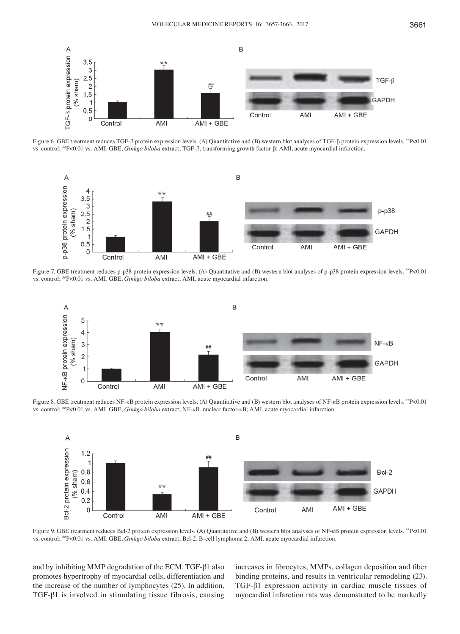

Figure 6. GBE treatment reduces TGF‑β protein expression levels. (A) Quantitative and (B) western blot analyses of TGF‑β protein expression levels. \*\*P<0.01 vs. control; ##P<0.01 vs. AMI. GBE, *Ginkgo biloba* extract; TGF‑β, transforming growth factor-β; AMI, acute myocardial infarction.



Figure 7. GBE treatment reduces p-p38 protein expression levels. (A) Quantitative and (B) western blot analyses of p-p38 protein expression levels. \*\*P<0.01 vs. control; ##P<0.01 vs. AMI. GBE, *Ginkgo biloba* extract; AMI, acute myocardial infarction.



Figure 8. GBE treatment reduces NF‑κB protein expression levels. (A) Quantitative and (B) western blot analyses of NF‑κB protein expression levels. \*\*P<0.01 vs. control; ##P<0.01 vs. AMI. GBE, *Ginkgo biloba* extract; NF‑κB, nuclear factor‑κB; AMI, acute myocardial infarction.



Figure 9. GBE treatment reduces Bcl-2 protein expression levels. (A) Quantitative and (B) western blot analyses of NF-κB protein expression levels. \*\*P<0.01 vs. control; #P<0.01 vs. AMI. GBE, *Ginkgo biloba* extract; Bcl-2, B-cell lymphoma 2; AMI, acute myocardial infarction.

and by inhibiting MMP degradation of the ECM. TGF-β1 also promotes hypertrophy of myocardial cells, differentiation and the increase of the number of lymphocytes (25). In addition, TGF-β1 is involved in stimulating tissue fibrosis, causing increases in fibrocytes, MMPs, collagen deposition and fiber binding proteins, and results in ventricular remodeling (23). TGF-β1 expression activity in cardiac muscle tissues of myocardial infarction rats was demonstrated to be markedly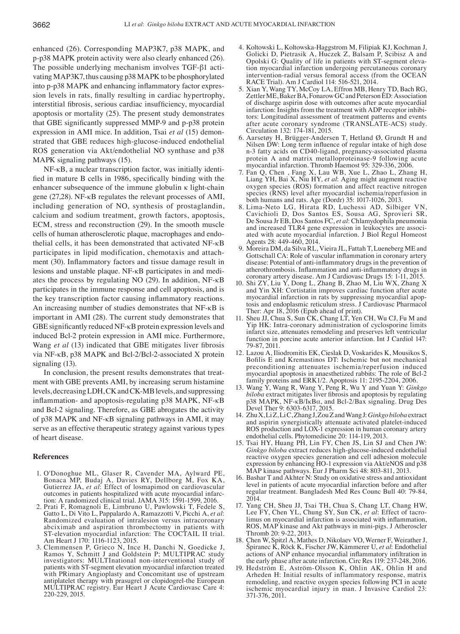enhanced (26). Corresponding MAP3K7, p38 MAPK, and p‑p38 MAPK protein activity were also clearly enhanced (26). The possible underlying mechanism involves TGF‑β1 activating MAP3K7, thus causing p38 MAPK to be phosphorylated into p‑p38 MAPK and enhancing inflammatory factor expression levels in rats, finally resulting in cardiac hypertrophy, interstitial fibrosis, serious cardiac insufficiency, myocardial apoptosis or mortality (25). The present study demonstrates that GBE significantly suppressed MMP‑9 and p‑p38 protein expression in AMI mice. In addition, Tsai *et al* (15) demonstrated that GBE reduces high‑glucose‑induced endothelial ROS generation via Akt/endothelial NO synthase and p38 MAPK signaling pathways (15).

NF-κB, a nuclear transcription factor, was initially identified in mature B cells in 1986, specifically binding with the enhancer subsequence of the immune globulin κ light-chain gene (27,28). NF-κB regulates the relevant processes of AMI, including generation of NO, synthesis of prostaglandin, calcium and sodium treatment, growth factors, apoptosis, ECM, stress and reconstruction (29). In the smooth muscle cells of human atherosclerotic plaque, macrophages and endothelial cells, it has been demonstrated that activated NF‑κB participates in lipid modification, chemotaxis and attachment (30). Inflammatory factors and tissue damage result in lesions and unstable plaque. NF‑κB participates in and mediates the process by regulating NO (29). In addition, NF-κB participates in the immune response and cell apoptosis, and is the key transcription factor causing inflammatory reactions. An increasing number of studies demonstrates that NF‑κB is important in AMI (28). The current study demonstrates that GBE significantly reduced NF‑κB protein expression levels and induced Bcl-2 protein expression in AMI mice. Furthermore, Wang *et al* (13) indicated that GBE mitigates liver fibrosis via NF-κB, p38 MAPK and Bcl-2/Bcl-2-associated X protein signaling (13).

In conclusion, the present results demonstrates that treatment with GBE prevents AMI, by increasing serum histamine levels, decreasing LDH, CK and CK‑MB levels, and suppressing inflammation- and apoptosis-regulating p38 MAPK, NF-κB and Bcl-2 signaling. Therefore, as GBE abrogates the activity of p38 MAPK and NF-κB signaling pathways in AMI, it may serve as an effective therapeutic strategy against various types of heart disease.

#### **References**

- 1. O'Donoghue ML, Glaser R, Cavender MA, Aylward PE, Bonaca MP, Budaj A, Davies RY, Dellborg M, Fox KA, Gutierrez JA, *et al*: Effect of losmapimod on cardiovascular outcomes in patients hospitalized with acute myocardial infarc-
- tion: A randomized clinical trial. JAMA 315: 1591-1599, 2016.<br>2. Prati F, Romagnoli E, Limbruno U, Pawlowski T, Fedele S, Gatto L, Di Vito L, Pappalardo A, Ramazzotti V, Picchi A, *et al*: Randomized evaluation of intralesion versus intracoronary abciximab and aspiration thrombectomy in patients with ST-elevation myocardial infarction: The COCTAIL II trial. ST" Musicard Infarction: The Corolevantial infarction: The Coctain metal. Am Heart J 170: 1116-1123, 2015. 3. Clemmensen P, Grieco N, Ince H, Danchi N, Goedicke J,
- Ramos Y, Schmitt J and Goldstein P; MULTIPRAC study investigators: MULTInational non‑interventional study of patients with ST‑segment elevation myocardial infarction treated with PRimary Angioplasty and Concomitant use of upstream antiplatelet therapy with prasugrel or clopidogrel-the European MULTIPRAC registry. Eur Heart J Acute Cardiovasc Care 4: 220‑229, 2015.
- 4. Koltowski L, Koltowska-Haggstrom M, Filipiak KJ, Kochman J, Golicki D, Pietrasik A, Huczek Z, Balsam P, Scibisz A and Opolski G: Quality of life in patients with ST‑segment elevation myocardial infarction undergoing percutaneous coronary intervention-radial versus femoral access (from the OCEAN RACE Trial). Am J Cardiol 114: 516-521, 2014.
- 5. Xian Y, Wang TY, McCoy LA, Effron MB, Henry TD, Bach RG, Zettler ME, Baker BA, Fonarow GC and Peterson ED: Association of discharge aspirin dose with outcomes after acute myocardial infarction: Insights from the treatment with ADP receptor inhibitors: Longitudinal assessment of treatment patterns and events after acute coronary syndrome (TRANSLATE‑ACS) study. Circulation 132: 174-181, 2015.
- 6. Aarsetøy H, Brügger-Andersen T, Hetland Ø, Grundt H and Nilsen DW: Long term influence of regular intake of high dose n-3 fatty acids on CD40-ligand, pregnancy-associated plasma protein A and matrix metalloproteinase-9 following acute myocardial infarction. Thromb Haemost 95: 329‑336, 2006.
- 7. Fan Q, Chen , Fang X, Lau WB, Xue L, Zhao L, Zhang H, Liang YH, Bai X, Niu HY, *et al*: Aging might augment reactive oxygen species (ROS) formation and affect reactive nitrogen species (RNS) level after myocardial ischemia/reperfusion in both humans and rats. Age (Dordr) 35: 1017-1026, 2013.
- 8. Lima‑Neto LG, Hirata RD, Luchessi AD, Silbiger VN, Cavichioli D, Dos Santos ES, Sousa AG, Sprovieri SR, De Sousa Jr EB, Dos Santos FC, *et al*: Chlamydophila pneumonia and increased TLR4 gene expression in leukocytes are associated with acute myocardial infarction. J Biol Regul Homeost Agents 28: 449‑460, 2014.
- 9. Moreira DM, da Silva RL, Vieira JL, Fattah T, Lueneberg ME and Gottschall CA: Role of vascular inflammation in coronary artery disease: Potential of anti‑inflammatory drugs in the prevention of atherothrombosis. Inflammation and anti‑inflammatory drugs in coronary artery disease. Am J Cardiovasc Drugs 15: 1‑11, 2015.
- 10. Shi ZY, Liu Y, Dong L, Zhang B, Zhao M, Liu WX, Zhang X and Yin XH: Cortistatin improves cardiac function after acute myocardial infarction in rats by suppressing myocardial apoptosis and endoplasmic reticulum stress. J Cardiovasc Pharmacol Ther: Apr 18, 2016 (Epub ahead of print).
- 11. Sheu JJ, Chua S, Sun CK, Chang LT, Yen CH, Wu CJ, Fu M and Yip HK: Intra-coronary administration of cyclosporine limits infarct size, attenuates remodeling and preserves left ventricular function in porcine acute anterior infarction. Int J Cardiol 147: 79‑87, 2011.
- 12. Lazou A, Iliodromitis EK, Cieslak D, Voskarides K, Mousikos S, Bofilis E and Kremastinos DT: Ischemic but not mechanical preconditioning attenuates ischemia/reperfusion induced myocardial apoptosis in anaesthetized rabbits: The role of Bcl-2 family proteins and ERK1/2. Apoptosis 11: 2195-2204, 2006.
- 13. Wang Y, Wang R, Wang Y, Peng R, Wu Y and Yuan Y: *Ginkgo biloba* extract mitigates liver fibrosis and apoptosis by regulating p38 MAPK, NF-κB/IκBα, and Bcl‑2/Bax signaling. Drug Des Devel Ther 9: 6303‑6317, 2015.
- 14. ZhuX, LiZ, LiC, ZhangJ, ZouZ and WangJ: *Ginkgobiloba* extract and aspirin synergistically attenuate activated platelet-induced ROS production and LOX-1 expression in human coronary artery endothelial cells. Phytomedicine 20: 114‑119, 2013.
- 15. Tsai HY, Huang PH, Lin FY, Chen JS, Lin SJ and Chen JW: *Ginkgo biloba* extract reduces high‑glucose‑induced endothelial reactive oxygen species generation and cell adhesion molecule expression by enhancing HO-1 expression via Akt/eNOS and p38 MAP kinase pathways. Eur J Pharm Sci 48: 803‑811, 2013.
- 16. Bashar T and Akhter N: Study on oxidative stress and antioxidant level in patients of acute myocardial infarction before and after regular treatment. Bangladesh Med Res Counc Bull 40: 79‑84, 2014.
- 17. Yang CH, Sheu JJ, Tsai TH, Chua S, Chang LT, Chang HW, Lee FY, Chen YL, Chung SY, Sun CK, *et al*: Effect of tacrolimus on myocardial infarction is associated with inflammation, ROS, MAP kinase and Akt pathways in mini-pigs. J Atheroscler
- Thromb 20: 9‑22, 2013. 18. Chen W, Spitzl A, Mathes D, Nikolaev VO, Werner F, Weirather J, Špiranec K, Röck K, Fischer JW, Kämmerer U, *et al*: Endothelial actions of ANP enhance myocardial inflammatory infiltration in
- the early phase after acute infarction. Circ Res 119: 237‑248, 2016. 19. Hedström E, Aström-Olsson K, Ohlin AK, Ohlin H and Arheden H: Initial results of inflammatory response, matrix remodeling, and reactive oxygen species following PCI in acute ischemic myocardial injury in man. J Invasive Cardiol 23: 371-376, 2011.